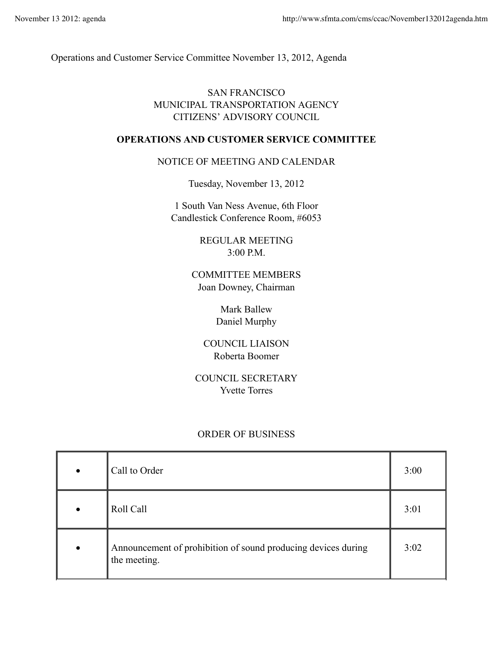Operations and Customer Service Committee November 13, 2012, Agenda

## SAN FRANCISCO MUNICIPAL TRANSPORTATION AGENCY CITIZENS' ADVISORY COUNCIL

## **OPERATIONS AND CUSTOMER SERVICE COMMITTEE**

## NOTICE OF MEETING AND CALENDAR

Tuesday, November 13, 2012

1 South Van Ness Avenue, 6th Floor Candlestick Conference Room, #6053

> REGULAR MEETING 3:00 P.M.

COMMITTEE MEMBERS Joan Downey, Chairman

> Mark Ballew Daniel Murphy

COUNCIL LIAISON Roberta Boomer

COUNCIL SECRETARY Yvette Torres

## ORDER OF BUSINESS

|   | Call to Order                                                                 | 3:00 |
|---|-------------------------------------------------------------------------------|------|
|   | Roll Call                                                                     | 3:01 |
| ٠ | Announcement of prohibition of sound producing devices during<br>the meeting. | 3:02 |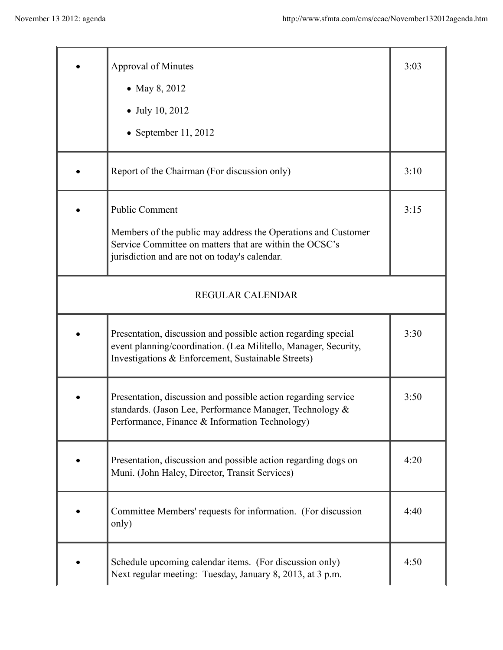|                         | <b>Approval of Minutes</b>                                                                                                                                                              | 3:03 |  |
|-------------------------|-----------------------------------------------------------------------------------------------------------------------------------------------------------------------------------------|------|--|
|                         | • May 8, 2012                                                                                                                                                                           |      |  |
|                         | $\bullet$ July 10, 2012                                                                                                                                                                 |      |  |
|                         | September 11, 2012                                                                                                                                                                      |      |  |
|                         | Report of the Chairman (For discussion only)                                                                                                                                            | 3:10 |  |
|                         | <b>Public Comment</b>                                                                                                                                                                   | 3:15 |  |
|                         | Members of the public may address the Operations and Customer<br>Service Committee on matters that are within the OCSC's<br>jurisdiction and are not on today's calendar.               |      |  |
| <b>REGULAR CALENDAR</b> |                                                                                                                                                                                         |      |  |
|                         | Presentation, discussion and possible action regarding special<br>event planning/coordination. (Lea Militello, Manager, Security,<br>Investigations & Enforcement, Sustainable Streets) | 3:30 |  |
|                         | Presentation, discussion and possible action regarding service<br>standards. (Jason Lee, Performance Manager, Technology &<br>Performance, Finance & Information Technology)            | 3:50 |  |
|                         | Presentation, discussion and possible action regarding dogs on<br>Muni. (John Haley, Director, Transit Services)                                                                        | 4:20 |  |
|                         | Committee Members' requests for information. (For discussion<br>only)                                                                                                                   | 4:40 |  |
|                         | Schedule upcoming calendar items. (For discussion only)<br>Next regular meeting: Tuesday, January 8, 2013, at 3 p.m.                                                                    | 4:50 |  |